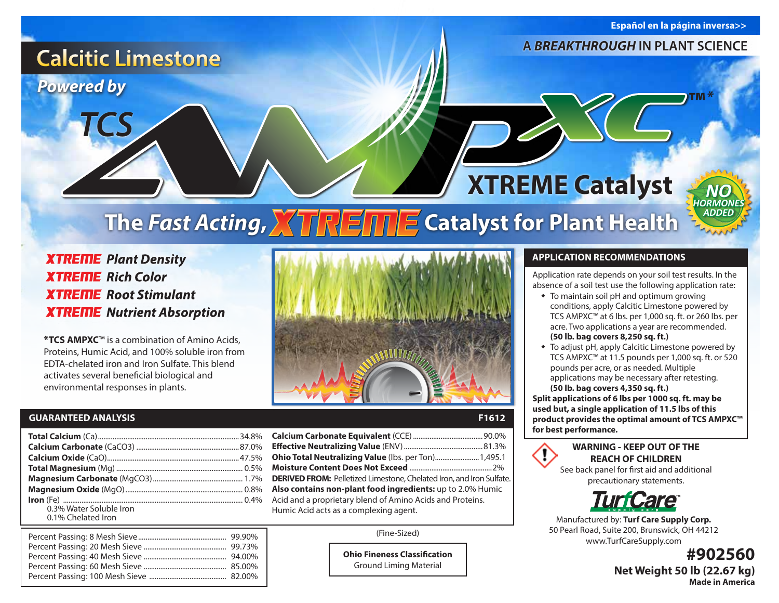**Español en la página inversa>>**

*™\**

*NO* **ORMON** *ADDED*

### **A** *BREAKTHROUGH* **IN PLANT SCIENCE**

# **XTREME Catalyst The Fast Acting, ATREITE Catalyst for Plant Health**

**F1612** 

**XTREME** Plant Density **XTREME** Rich Color **XTREME** Root Stimulant **XTREME** Nutrient Absorption

**\*TCS AMPXC**™ is a combination of Amino Acids, Proteins, Humic Acid, and 100% soluble iron from EDTA-chelated iron and Iron Sulfate. This blend activates several beneficial biological and environmental responses in plants.

#### **GUARANTEED ANALYSIS**

*Powered by*

*TCS*

**Calcitic Limestone** 

|                         |                                                                             | for best performance.        |
|-------------------------|-----------------------------------------------------------------------------|------------------------------|
|                         |                                                                             | <b>WARNING</b>               |
|                         | Ohio Total Neutralizing Value (lbs. per Ton) 1,495.1                        | <b>REACH</b>                 |
|                         |                                                                             | See back panel               |
|                         | <b>DERIVED FROM:</b> Pelletized Limestone, Chelated Iron, and Iron Sulfate. | precauti                     |
|                         | Also contains non-plant food ingredients: up to 2.0% Humic                  |                              |
|                         | Acid and a proprietary blend of Amino Acids and Proteins.                   | <b>TU</b>                    |
| 0.3% Water Soluble Iron | Humic Acid acts as a complexing agent.                                      |                              |
| 0.1% Chelated Iron      |                                                                             | Manufactured by              |
|                         |                                                                             | $F \cap D = \cup D = \cup D$ |

| Ohio Total Neutralizing Value (Ibs. per Ton) 1,495.1                        |  |  |  |
|-----------------------------------------------------------------------------|--|--|--|
|                                                                             |  |  |  |
| <b>DERIVED FROM:</b> Pelletized Limestone, Chelated Iron, and Iron Sulfate. |  |  |  |
| Also contains non-plant food ingredients: up to 2.0% Humic                  |  |  |  |
| Acid and a proprietary blend of Amino Acids and Proteins.                   |  |  |  |
| Humic Acid acts as a complexing agent.                                      |  |  |  |
|                                                                             |  |  |  |

(Fine-Sized)

**Ohio Fineness Classification** Ground Liming Material

#### **APPLICATION RECOMMENDATIONS**

Application rate depends on your soil test results. In the absence of a soil test use the following application rate:

- $\bullet$  To maintain soil pH and optimum growing conditions, apply Calcitic Limestone powered by TCS AMPXC™ at 6 lbs. per 1,000 sq. ft. or 260 lbs. per acre. Two applications a year are recommended.  **(50 lb. bag covers 8,250 sq. ft.)**
- To adjust pH, apply Calcitic Limestone powered by TCS AMPXC™ at 11.5 pounds per 1,000 sq. ft. or 520 pounds per acre, or as needed. Multiple applications may be necessary after retesting.  **(50 lb. bag covers 4,350 sq. ft.)**

**Split applications of 6 lbs per 1000 sq. ft. may be used but, a single application of 11.5 lbs of this product provides the optimal amount of TCS AMPXC™**

**WARNING - KEEP OUT OF THE**  T **REACH OF CHILDREN** See back panel for first aid and additional

precautionary statements.



Manufactured by: **Turf Care Supply Corp.**  50 Pearl Road, Suite 200, Brunswick, OH 44212 www.TurfCareSupply.com

> **#902560 Net Weight 50 lb (22.67 kg) Made in America**